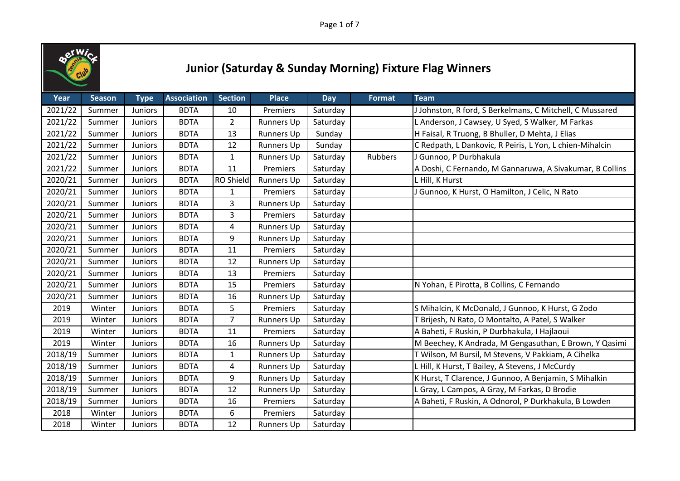

| Year    | <b>Season</b> | <b>Type</b>    | <b>Association</b> | <b>Section</b>   | <b>Place</b>      | Day      | <b>Format</b> | <b>Team</b>                                              |
|---------|---------------|----------------|--------------------|------------------|-------------------|----------|---------------|----------------------------------------------------------|
| 2021/22 | Summer        | Juniors        | <b>BDTA</b>        | 10               | Premiers          | Saturday |               | J Johnston, R ford, S Berkelmans, C Mitchell, C Mussared |
| 2021/22 | Summer        | <b>Juniors</b> | <b>BDTA</b>        | $\overline{2}$   | <b>Runners Up</b> | Saturday |               | L Anderson, J Cawsey, U Syed, S Walker, M Farkas         |
| 2021/22 | Summer        | Juniors        | <b>BDTA</b>        | 13               | Runners Up        | Sunday   |               | H Faisal, R Truong, B Bhuller, D Mehta, J Elias          |
| 2021/22 | Summer        | Juniors        | <b>BDTA</b>        | 12               | <b>Runners Up</b> | Sunday   |               | C Redpath, L Dankovic, R Peiris, L Yon, L chien-Mihalcin |
| 2021/22 | Summer        | Juniors        | <b>BDTA</b>        | $\mathbf{1}$     | <b>Runners Up</b> | Saturday | Rubbers       | J Gunnoo, P Durbhakula                                   |
| 2021/22 | Summer        | Juniors        | <b>BDTA</b>        | 11               | Premiers          | Saturday |               | A Doshi, C Fernando, M Gannaruwa, A Sivakumar, B Collins |
| 2020/21 | Summer        | Juniors        | <b>BDTA</b>        | <b>RO Shield</b> | <b>Runners Up</b> | Saturday |               | L Hill, K Hurst                                          |
| 2020/21 | Summer        | Juniors        | <b>BDTA</b>        | 1                | Premiers          | Saturday |               | J Gunnoo, K Hurst, O Hamilton, J Celic, N Rato           |
| 2020/21 | Summer        | Juniors        | <b>BDTA</b>        | 3                | <b>Runners Up</b> | Saturday |               |                                                          |
| 2020/21 | Summer        | <b>Juniors</b> | <b>BDTA</b>        | 3                | Premiers          | Saturday |               |                                                          |
| 2020/21 | Summer        | Juniors        | <b>BDTA</b>        | 4                | <b>Runners Up</b> | Saturday |               |                                                          |
| 2020/21 | Summer        | <b>Juniors</b> | <b>BDTA</b>        | 9                | <b>Runners Up</b> | Saturday |               |                                                          |
| 2020/21 | Summer        | Juniors        | <b>BDTA</b>        | 11               | Premiers          | Saturday |               |                                                          |
| 2020/21 | Summer        | Juniors        | <b>BDTA</b>        | 12               | <b>Runners Up</b> | Saturday |               |                                                          |
| 2020/21 | Summer        | Juniors        | <b>BDTA</b>        | 13               | Premiers          | Saturday |               |                                                          |
| 2020/21 | Summer        | Juniors        | <b>BDTA</b>        | 15               | Premiers          | Saturday |               | N Yohan, E Pirotta, B Collins, C Fernando                |
| 2020/21 | Summer        | Juniors        | <b>BDTA</b>        | 16               | <b>Runners Up</b> | Saturday |               |                                                          |
| 2019    | Winter        | Juniors        | <b>BDTA</b>        | 5                | Premiers          | Saturday |               | S Mihalcin, K McDonald, J Gunnoo, K Hurst, G Zodo        |
| 2019    | Winter        | Juniors        | <b>BDTA</b>        | $\overline{7}$   | <b>Runners Up</b> | Saturday |               | T Brijesh, N Rato, O Montalto, A Patel, S Walker         |
| 2019    | Winter        | Juniors        | <b>BDTA</b>        | 11               | Premiers          | Saturday |               | A Baheti, F Ruskin, P Durbhakula, I Hajlaoui             |
| 2019    | Winter        | Juniors        | <b>BDTA</b>        | 16               | <b>Runners Up</b> | Saturday |               | M Beechey, K Andrada, M Gengasuthan, E Brown, Y Qasimi   |
| 2018/19 | Summer        | Juniors        | <b>BDTA</b>        | $\mathbf{1}$     | <b>Runners Up</b> | Saturday |               | T Wilson, M Bursil, M Stevens, V Pakkiam, A Cihelka      |
| 2018/19 | Summer        | <b>Juniors</b> | <b>BDTA</b>        | 4                | <b>Runners Up</b> | Saturday |               | L Hill, K Hurst, T Bailey, A Stevens, J McCurdy          |
| 2018/19 | Summer        | Juniors        | <b>BDTA</b>        | 9                | Runners Up        | Saturday |               | K Hurst, T Clarence, J Gunnoo, A Benjamin, S Mihalkin    |
| 2018/19 | Summer        | Juniors        | <b>BDTA</b>        | 12               | <b>Runners Up</b> | Saturday |               | L Gray, L Campos, A Gray, M Farkas, D Brodie             |
| 2018/19 | Summer        | Juniors        | <b>BDTA</b>        | 16               | Premiers          | Saturday |               | A Baheti, F Ruskin, A Odnorol, P Durkhakula, B Lowden    |
| 2018    | Winter        | Juniors        | <b>BDTA</b>        | 6                | Premiers          | Saturday |               |                                                          |
| 2018    | Winter        | <b>Juniors</b> | <b>BDTA</b>        | 12               | <b>Runners Up</b> | Saturday |               |                                                          |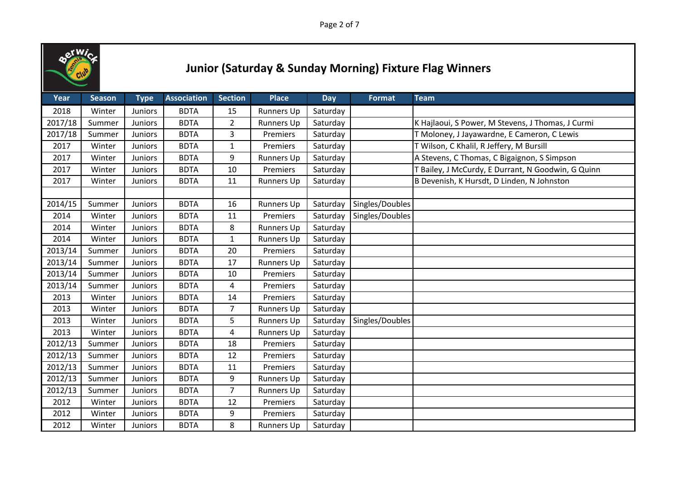

| Year    | <b>Season</b> | <b>Type</b>    | <b>Association</b> | <b>Section</b> | <b>Place</b>      | <b>Day</b> | <b>Format</b>   | <b>Team</b>                                        |
|---------|---------------|----------------|--------------------|----------------|-------------------|------------|-----------------|----------------------------------------------------|
| 2018    | Winter        | <b>Juniors</b> | <b>BDTA</b>        | 15             | <b>Runners Up</b> | Saturday   |                 |                                                    |
| 2017/18 | Summer        | <b>Juniors</b> | <b>BDTA</b>        | $\overline{2}$ | <b>Runners Up</b> | Saturday   |                 | K Hajlaoui, S Power, M Stevens, J Thomas, J Curmi  |
| 2017/18 | Summer        | <b>Juniors</b> | <b>BDTA</b>        | 3              | Premiers          | Saturday   |                 | T Moloney, J Jayawardne, E Cameron, C Lewis        |
| 2017    | Winter        | Juniors        | <b>BDTA</b>        | $\mathbf{1}$   | Premiers          | Saturday   |                 | T Wilson, C Khalil, R Jeffery, M Bursill           |
| 2017    | Winter        | Juniors        | <b>BDTA</b>        | 9              | <b>Runners Up</b> | Saturday   |                 | A Stevens, C Thomas, C Bigaignon, S Simpson        |
| 2017    | Winter        | Juniors        | <b>BDTA</b>        | 10             | Premiers          | Saturday   |                 | T Bailey, J McCurdy, E Durrant, N Goodwin, G Quinn |
| 2017    | Winter        | Juniors        | <b>BDTA</b>        | 11             | <b>Runners Up</b> | Saturday   |                 | B Devenish, K Hursdt, D Linden, N Johnston         |
|         |               |                |                    |                |                   |            |                 |                                                    |
| 2014/15 | Summer        | Juniors        | <b>BDTA</b>        | 16             | Runners Up        | Saturday   | Singles/Doubles |                                                    |
| 2014    | Winter        | Juniors        | <b>BDTA</b>        | 11             | Premiers          | Saturday   | Singles/Doubles |                                                    |
| 2014    | Winter        | <b>Juniors</b> | <b>BDTA</b>        | 8              | <b>Runners Up</b> | Saturday   |                 |                                                    |
| 2014    | Winter        | <b>Juniors</b> | <b>BDTA</b>        | $\mathbf{1}$   | <b>Runners Up</b> | Saturday   |                 |                                                    |
| 2013/14 | Summer        | Juniors        | <b>BDTA</b>        | 20             | Premiers          | Saturday   |                 |                                                    |
| 2013/14 | Summer        | <b>Juniors</b> | <b>BDTA</b>        | 17             | <b>Runners Up</b> | Saturday   |                 |                                                    |
| 2013/14 | Summer        | Juniors        | <b>BDTA</b>        | 10             | Premiers          | Saturday   |                 |                                                    |
| 2013/14 | Summer        | Juniors        | <b>BDTA</b>        | 4              | Premiers          | Saturday   |                 |                                                    |
| 2013    | Winter        | <b>Juniors</b> | <b>BDTA</b>        | 14             | Premiers          | Saturday   |                 |                                                    |
| 2013    | Winter        | <b>Juniors</b> | <b>BDTA</b>        | $\overline{7}$ | Runners Up        | Saturday   |                 |                                                    |
| 2013    | Winter        | Juniors        | <b>BDTA</b>        | 5              | <b>Runners Up</b> | Saturday   | Singles/Doubles |                                                    |
| 2013    | Winter        | Juniors        | <b>BDTA</b>        | $\overline{4}$ | <b>Runners Up</b> | Saturday   |                 |                                                    |
| 2012/13 | Summer        | Juniors        | <b>BDTA</b>        | 18             | Premiers          | Saturday   |                 |                                                    |
| 2012/13 | Summer        | <b>Juniors</b> | <b>BDTA</b>        | 12             | Premiers          | Saturday   |                 |                                                    |
| 2012/13 | Summer        | <b>Juniors</b> | <b>BDTA</b>        | 11             | Premiers          | Saturday   |                 |                                                    |
| 2012/13 | Summer        | Juniors        | <b>BDTA</b>        | 9              | <b>Runners Up</b> | Saturday   |                 |                                                    |
| 2012/13 | Summer        | Juniors        | <b>BDTA</b>        | $\overline{7}$ | <b>Runners Up</b> | Saturday   |                 |                                                    |
| 2012    | Winter        | Juniors        | <b>BDTA</b>        | 12             | Premiers          | Saturday   |                 |                                                    |
| 2012    | Winter        | Juniors        | <b>BDTA</b>        | 9              | Premiers          | Saturday   |                 |                                                    |
| 2012    | Winter        | <b>Juniors</b> | <b>BDTA</b>        | 8              | <b>Runners Up</b> | Saturday   |                 |                                                    |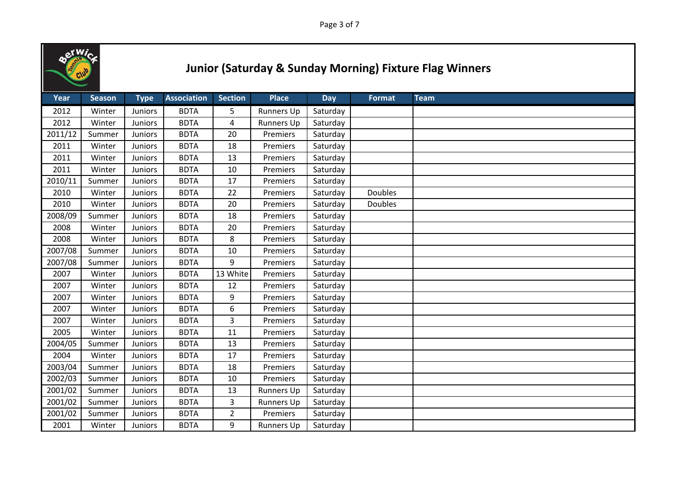

| Year    | <b>Season</b> | <b>Type</b>    | <b>Association</b> | <b>Section</b> | <b>Place</b>      | Day      | <b>Format</b>  | <b>Team</b> |
|---------|---------------|----------------|--------------------|----------------|-------------------|----------|----------------|-------------|
| 2012    | Winter        | Juniors        | <b>BDTA</b>        | 5              | Runners Up        | Saturday |                |             |
| 2012    | Winter        | Juniors        | <b>BDTA</b>        | 4              | <b>Runners Up</b> | Saturday |                |             |
| 2011/12 | Summer        | Juniors        | <b>BDTA</b>        | 20             | Premiers          | Saturday |                |             |
| 2011    | Winter        | Juniors        | <b>BDTA</b>        | 18             | Premiers          | Saturday |                |             |
| 2011    | Winter        | <b>Juniors</b> | <b>BDTA</b>        | 13             | Premiers          | Saturday |                |             |
| 2011    | Winter        | Juniors        | <b>BDTA</b>        | 10             | Premiers          | Saturday |                |             |
| 2010/11 | Summer        | Juniors        | <b>BDTA</b>        | 17             | Premiers          | Saturday |                |             |
| 2010    | Winter        | Juniors        | <b>BDTA</b>        | 22             | Premiers          | Saturday | <b>Doubles</b> |             |
| 2010    | Winter        | Juniors        | <b>BDTA</b>        | 20             | Premiers          | Saturday | Doubles        |             |
| 2008/09 | Summer        | Juniors        | <b>BDTA</b>        | 18             | Premiers          | Saturday |                |             |
| 2008    | Winter        | Juniors        | <b>BDTA</b>        | 20             | Premiers          | Saturday |                |             |
| 2008    | Winter        | <b>Juniors</b> | <b>BDTA</b>        | 8              | Premiers          | Saturday |                |             |
| 2007/08 | Summer        | Juniors        | <b>BDTA</b>        | 10             | Premiers          | Saturday |                |             |
| 2007/08 | Summer        | Juniors        | <b>BDTA</b>        | 9              | Premiers          | Saturday |                |             |
| 2007    | Winter        | Juniors        | <b>BDTA</b>        | 13 White       | Premiers          | Saturday |                |             |
| 2007    | Winter        | Juniors        | <b>BDTA</b>        | 12             | Premiers          | Saturday |                |             |
| 2007    | Winter        | Juniors        | <b>BDTA</b>        | 9              | Premiers          | Saturday |                |             |
| 2007    | Winter        | Juniors        | <b>BDTA</b>        | 6              | Premiers          | Saturday |                |             |
| 2007    | Winter        | <b>Juniors</b> | <b>BDTA</b>        | 3              | Premiers          | Saturday |                |             |
| 2005    | Winter        | Juniors        | <b>BDTA</b>        | 11             | Premiers          | Saturday |                |             |
| 2004/05 | Summer        | Juniors        | <b>BDTA</b>        | 13             | Premiers          | Saturday |                |             |
| 2004    | Winter        | <b>Juniors</b> | <b>BDTA</b>        | 17             | Premiers          | Saturday |                |             |
| 2003/04 | Summer        | <b>Juniors</b> | <b>BDTA</b>        | 18             | Premiers          | Saturday |                |             |
| 2002/03 | Summer        | Juniors        | <b>BDTA</b>        | $10\,$         | Premiers          | Saturday |                |             |
| 2001/02 | Summer        | Juniors        | <b>BDTA</b>        | 13             | <b>Runners Up</b> | Saturday |                |             |
| 2001/02 | Summer        | Juniors        | <b>BDTA</b>        | 3              | Runners Up        | Saturday |                |             |
| 2001/02 | Summer        | Juniors        | <b>BDTA</b>        | $\overline{2}$ | Premiers          | Saturday |                |             |
| 2001    | Winter        | <b>Juniors</b> | <b>BDTA</b>        | 9              | <b>Runners Up</b> | Saturday |                |             |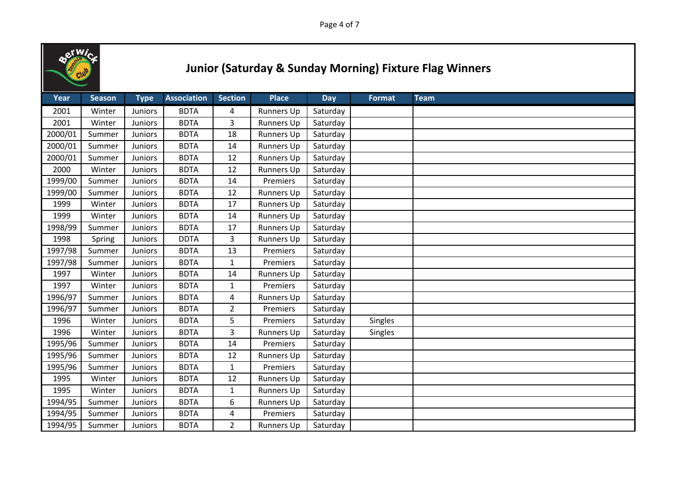

| Year    | <b>Season</b> | <b>Type</b>    | <b>Association</b> | <b>Section</b> | <b>Place</b>      | Day      | <b>Format</b> | <b>Team</b> |
|---------|---------------|----------------|--------------------|----------------|-------------------|----------|---------------|-------------|
| 2001    | Winter        | Juniors        | <b>BDTA</b>        | 4              | Runners Up        | Saturday |               |             |
| 2001    | Winter        | Juniors        | <b>BDTA</b>        | 3              | <b>Runners Up</b> | Saturday |               |             |
| 2000/01 | Summer        | Juniors        | <b>BDTA</b>        | 18             | <b>Runners Up</b> | Saturday |               |             |
| 2000/01 | Summer        | Juniors        | <b>BDTA</b>        | 14             | <b>Runners Up</b> | Saturday |               |             |
| 2000/01 | Summer        | <b>Juniors</b> | <b>BDTA</b>        | 12             | Runners Up        | Saturday |               |             |
| 2000    | Winter        | Juniors        | <b>BDTA</b>        | 12             | Runners Up        | Saturday |               |             |
| 1999/00 | Summer        | Juniors        | <b>BDTA</b>        | 14             | Premiers          | Saturday |               |             |
| 1999/00 | Summer        | Juniors        | <b>BDTA</b>        | 12             | <b>Runners Up</b> | Saturday |               |             |
| 1999    | Winter        | Juniors        | <b>BDTA</b>        | 17             | Runners Up        | Saturday |               |             |
| 1999    | Winter        | Juniors        | <b>BDTA</b>        | 14             | <b>Runners Up</b> | Saturday |               |             |
| 1998/99 | Summer        | Juniors        | <b>BDTA</b>        | 17             | <b>Runners Up</b> | Saturday |               |             |
| 1998    | Spring        | Juniors        | <b>DDTA</b>        | 3              | Runners Up        | Saturday |               |             |
| 1997/98 | Summer        | Juniors        | <b>BDTA</b>        | 13             | Premiers          | Saturday |               |             |
| 1997/98 | Summer        | Juniors        | <b>BDTA</b>        | $\mathbf{1}$   | Premiers          | Saturday |               |             |
| 1997    | Winter        | Juniors        | <b>BDTA</b>        | 14             | <b>Runners Up</b> | Saturday |               |             |
| 1997    | Winter        | Juniors        | <b>BDTA</b>        | 1              | Premiers          | Saturday |               |             |
| 1996/97 | Summer        | Juniors        | <b>BDTA</b>        | 4              | Runners Up        | Saturday |               |             |
| 1996/97 | Summer        | Juniors        | <b>BDTA</b>        | $\overline{2}$ | Premiers          | Saturday |               |             |
| 1996    | Winter        | <b>Juniors</b> | <b>BDTA</b>        | 5              | Premiers          | Saturday | Singles       |             |
| 1996    | Winter        | Juniors        | <b>BDTA</b>        | 3              | <b>Runners Up</b> | Saturday | Singles       |             |
| 1995/96 | Summer        | Juniors        | <b>BDTA</b>        | 14             | Premiers          | Saturday |               |             |
| 1995/96 | Summer        | <b>Juniors</b> | <b>BDTA</b>        | 12             | <b>Runners Up</b> | Saturday |               |             |
| 1995/96 | Summer        | <b>Juniors</b> | <b>BDTA</b>        | $\mathbf{1}$   | Premiers          | Saturday |               |             |
| 1995    | Winter        | Juniors        | <b>BDTA</b>        | 12             | Runners Up        | Saturday |               |             |
| 1995    | Winter        | Juniors        | <b>BDTA</b>        | $\mathbf{1}$   | <b>Runners Up</b> | Saturday |               |             |
| 1994/95 | Summer        | Juniors        | <b>BDTA</b>        | 6              | <b>Runners Up</b> | Saturday |               |             |
| 1994/95 | Summer        | Juniors        | <b>BDTA</b>        | 4              | Premiers          | Saturday |               |             |
| 1994/95 | Summer        | <b>Juniors</b> | <b>BDTA</b>        | $\overline{2}$ | <b>Runners Up</b> | Saturday |               |             |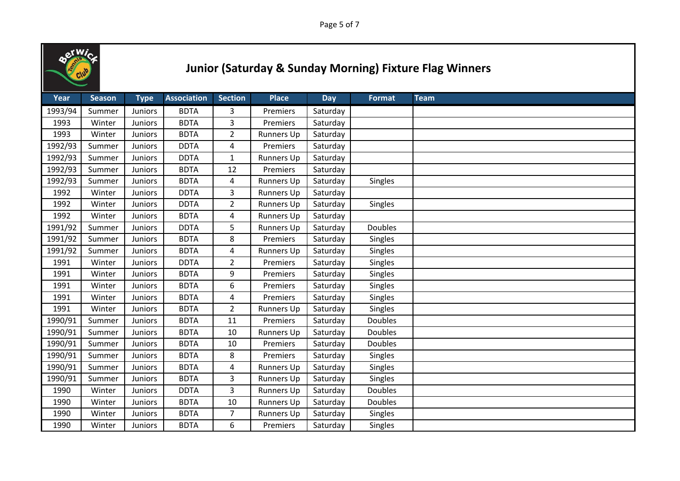

| Year    | <b>Season</b> | <b>Type</b>    | <b>Association</b> | <b>Section</b> | <b>Place</b>      | <b>Day</b> | <b>Format</b> | <b>Team</b> |
|---------|---------------|----------------|--------------------|----------------|-------------------|------------|---------------|-------------|
| 1993/94 | Summer        | Juniors        | <b>BDTA</b>        | 3              | Premiers          | Saturday   |               |             |
| 1993    | Winter        | Juniors        | <b>BDTA</b>        | 3              | Premiers          | Saturday   |               |             |
| 1993    | Winter        | Juniors        | <b>BDTA</b>        | $\overline{2}$ | <b>Runners Up</b> | Saturday   |               |             |
| 1992/93 | Summer        | Juniors        | <b>DDTA</b>        | 4              | Premiers          | Saturday   |               |             |
| 1992/93 | Summer        | Juniors        | <b>DDTA</b>        | $\mathbf{1}$   | <b>Runners Up</b> | Saturday   |               |             |
| 1992/93 | Summer        | Juniors        | <b>BDTA</b>        | 12             | Premiers          | Saturday   |               |             |
| 1992/93 | Summer        | Juniors        | <b>BDTA</b>        | 4              | <b>Runners Up</b> | Saturday   | Singles       |             |
| 1992    | Winter        | Juniors        | <b>DDTA</b>        | 3              | <b>Runners Up</b> | Saturday   |               |             |
| 1992    | Winter        | <b>Juniors</b> | <b>DDTA</b>        | $\overline{2}$ | <b>Runners Up</b> | Saturday   | Singles       |             |
| 1992    | Winter        | Juniors        | <b>BDTA</b>        | 4              | <b>Runners Up</b> | Saturday   |               |             |
| 1991/92 | Summer        | Juniors        | <b>DDTA</b>        | 5              | <b>Runners Up</b> | Saturday   | Doubles       |             |
| 1991/92 | Summer        | Juniors        | <b>BDTA</b>        | 8              | Premiers          | Saturday   | Singles       |             |
| 1991/92 | Summer        | Juniors        | <b>BDTA</b>        | 4              | <b>Runners Up</b> | Saturday   | Singles       |             |
| 1991    | Winter        | Juniors        | <b>DDTA</b>        | $\overline{2}$ | Premiers          | Saturday   | Singles       |             |
| 1991    | Winter        | Juniors        | <b>BDTA</b>        | 9              | Premiers          | Saturday   | Singles       |             |
| 1991    | Winter        | Juniors        | <b>BDTA</b>        | 6              | Premiers          | Saturday   | Singles       |             |
| 1991    | Winter        | Juniors        | <b>BDTA</b>        | 4              | Premiers          | Saturday   | Singles       |             |
| 1991    | Winter        | Juniors        | <b>BDTA</b>        | $\overline{2}$ | Runners Up        | Saturday   | Singles       |             |
| 1990/91 | Summer        | Juniors        | <b>BDTA</b>        | 11             | Premiers          | Saturday   | Doubles       |             |
| 1990/91 | Summer        | Juniors        | <b>BDTA</b>        | 10             | <b>Runners Up</b> | Saturday   | Doubles       |             |
| 1990/91 | Summer        | <b>Juniors</b> | <b>BDTA</b>        | 10             | Premiers          | Saturday   | Doubles       |             |
| 1990/91 | Summer        | Juniors        | <b>BDTA</b>        | 8              | Premiers          | Saturday   | Singles       |             |
| 1990/91 | Summer        | Juniors        | <b>BDTA</b>        | 4              | <b>Runners Up</b> | Saturday   | Singles       |             |
| 1990/91 | Summer        | Juniors        | <b>BDTA</b>        | 3              | <b>Runners Up</b> | Saturday   | Singles       |             |
| 1990    | Winter        | Juniors        | <b>DDTA</b>        | $\overline{3}$ | <b>Runners Up</b> | Saturday   | Doubles       |             |
| 1990    | Winter        | Juniors        | <b>BDTA</b>        | 10             | Runners Up        | Saturday   | Doubles       |             |
| 1990    | Winter        | Juniors        | <b>BDTA</b>        | $\overline{7}$ | <b>Runners Up</b> | Saturday   | Singles       |             |
| 1990    | Winter        | <b>Juniors</b> | <b>BDTA</b>        | 6              | Premiers          | Saturday   | Singles       |             |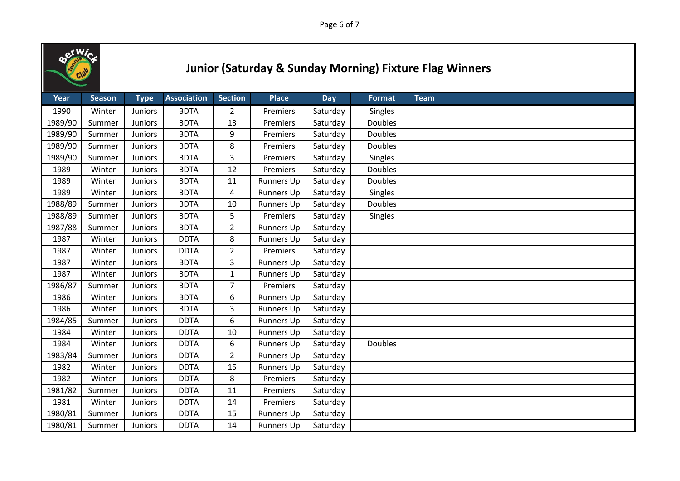

| Year    | <b>Season</b> | <b>Type</b>    | <b>Association</b> | <b>Section</b> | <b>Place</b>      | <b>Day</b> | <b>Format</b>  | <b>Team</b> |
|---------|---------------|----------------|--------------------|----------------|-------------------|------------|----------------|-------------|
| 1990    | Winter        | <b>Juniors</b> | <b>BDTA</b>        | $\overline{2}$ | Premiers          | Saturday   | Singles        |             |
| 1989/90 | Summer        | <b>Juniors</b> | <b>BDTA</b>        | 13             | Premiers          | Saturday   | <b>Doubles</b> |             |
| 1989/90 | Summer        | <b>Juniors</b> | <b>BDTA</b>        | 9              | Premiers          | Saturday   | <b>Doubles</b> |             |
| 1989/90 | Summer        | Juniors        | <b>BDTA</b>        | 8              | Premiers          | Saturday   | Doubles        |             |
| 1989/90 | Summer        | Juniors        | <b>BDTA</b>        | 3              | Premiers          | Saturday   | Singles        |             |
| 1989    | Winter        | Juniors        | <b>BDTA</b>        | 12             | Premiers          | Saturday   | Doubles        |             |
| 1989    | Winter        | Juniors        | <b>BDTA</b>        | 11             | <b>Runners Up</b> | Saturday   | <b>Doubles</b> |             |
| 1989    | Winter        | <b>Juniors</b> | <b>BDTA</b>        | 4              | <b>Runners Up</b> | Saturday   | Singles        |             |
| 1988/89 | Summer        | Juniors        | <b>BDTA</b>        | 10             | <b>Runners Up</b> | Saturday   | Doubles        |             |
| 1988/89 | Summer        | Juniors        | <b>BDTA</b>        | 5              | Premiers          | Saturday   | Singles        |             |
| 1987/88 | Summer        | Juniors        | <b>BDTA</b>        | $\overline{2}$ | <b>Runners Up</b> | Saturday   |                |             |
| 1987    | Winter        | <b>Juniors</b> | <b>DDTA</b>        | 8              | <b>Runners Up</b> | Saturday   |                |             |
| 1987    | Winter        | Juniors        | <b>DDTA</b>        | $\overline{2}$ | Premiers          | Saturday   |                |             |
| 1987    | Winter        | Juniors        | <b>BDTA</b>        | 3              | <b>Runners Up</b> | Saturday   |                |             |
| 1987    | Winter        | <b>Juniors</b> | <b>BDTA</b>        | 1              | <b>Runners Up</b> | Saturday   |                |             |
| 1986/87 | Summer        | Juniors        | <b>BDTA</b>        | $\overline{7}$ | Premiers          | Saturday   |                |             |
| 1986    | Winter        | Juniors        | <b>BDTA</b>        | 6              | <b>Runners Up</b> | Saturday   |                |             |
| 1986    | Winter        | Juniors        | <b>BDTA</b>        | 3              | <b>Runners Up</b> | Saturday   |                |             |
| 1984/85 | Summer        | <b>Juniors</b> | <b>DDTA</b>        | 6              | Runners Up        | Saturday   |                |             |
| 1984    | Winter        | Juniors        | <b>DDTA</b>        | 10             | <b>Runners Up</b> | Saturday   |                |             |
| 1984    | Winter        | <b>Juniors</b> | <b>DDTA</b>        | 6              | <b>Runners Up</b> | Saturday   | Doubles        |             |
| 1983/84 | Summer        | Juniors        | <b>DDTA</b>        | $\overline{2}$ | <b>Runners Up</b> | Saturday   |                |             |
| 1982    | Winter        | <b>Juniors</b> | <b>DDTA</b>        | 15             | <b>Runners Up</b> | Saturday   |                |             |
| 1982    | Winter        | Juniors        | <b>DDTA</b>        | 8              | Premiers          | Saturday   |                |             |
| 1981/82 | Summer        | Juniors        | <b>DDTA</b>        | 11             | Premiers          | Saturday   |                |             |
| 1981    | Winter        | Juniors        | <b>DDTA</b>        | 14             | Premiers          | Saturday   |                |             |
| 1980/81 | Summer        | Juniors        | <b>DDTA</b>        | 15             | Runners Up        | Saturday   |                |             |
| 1980/81 | Summer        | <b>Juniors</b> | <b>DDTA</b>        | 14             | <b>Runners Up</b> | Saturday   |                |             |